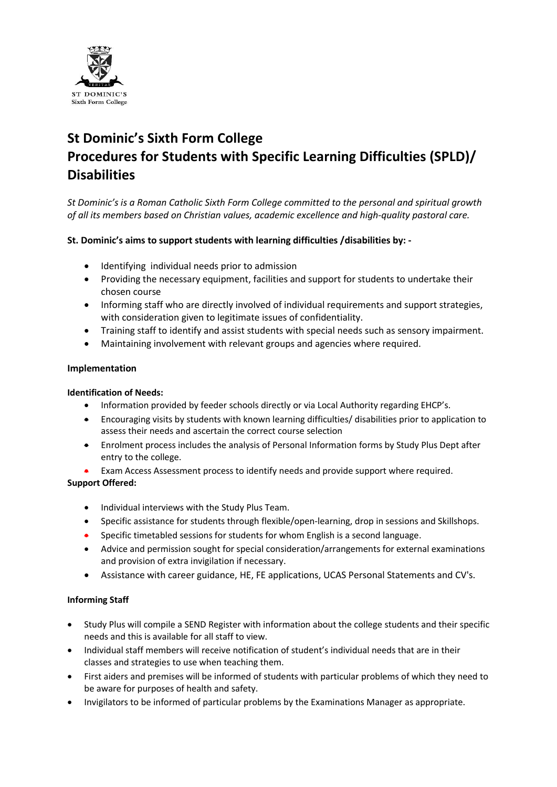

# **St Dominic's Sixth Form College Procedures for Students with Specific Learning Difficulties (SPLD)/ Disabilities**

*St Dominic's is a Roman Catholic Sixth Form College committed to the personal and spiritual growth of all its members based on Christian values, academic excellence and high-quality pastoral care.*

## **St. Dominic's aims to support students with learning difficulties /disabilities by: -**

- Identifying individual needs prior to admission
- Providing the necessary equipment, facilities and support for students to undertake their chosen course
- Informing staff who are directly involved of individual requirements and support strategies, with consideration given to legitimate issues of confidentiality.
- Training staff to identify and assist students with special needs such as sensory impairment.
- Maintaining involvement with relevant groups and agencies where required.

#### **Implementation**

#### **Identification of Needs:**

- Information provided by feeder schools directly or via Local Authority regarding EHCP's.
- Encouraging visits by students with known learning difficulties/ disabilities prior to application to assess their needs and ascertain the correct course selection
- Enrolment process includes the analysis of Personal Information forms by Study Plus Dept after entry to the college.
- Exam Access Assessment process to identify needs and provide support where required.

## **Support Offered:**

- Individual interviews with the Study Plus Team.
- Specific assistance for students through flexible/open-learning, drop in sessions and Skillshops.
- Specific timetabled sessions for students for whom English is a second language.
- Advice and permission sought for special consideration/arrangements for external examinations and provision of extra invigilation if necessary.
- Assistance with career guidance, HE, FE applications, UCAS Personal Statements and CV's.

## **Informing Staff**

- Study Plus will compile a SEND Register with information about the college students and their specific needs and this is available for all staff to view.
- Individual staff members will receive notification of student's individual needs that are in their classes and strategies to use when teaching them.
- First aiders and premises will be informed of students with particular problems of which they need to be aware for purposes of health and safety.
- Invigilators to be informed of particular problems by the Examinations Manager as appropriate.